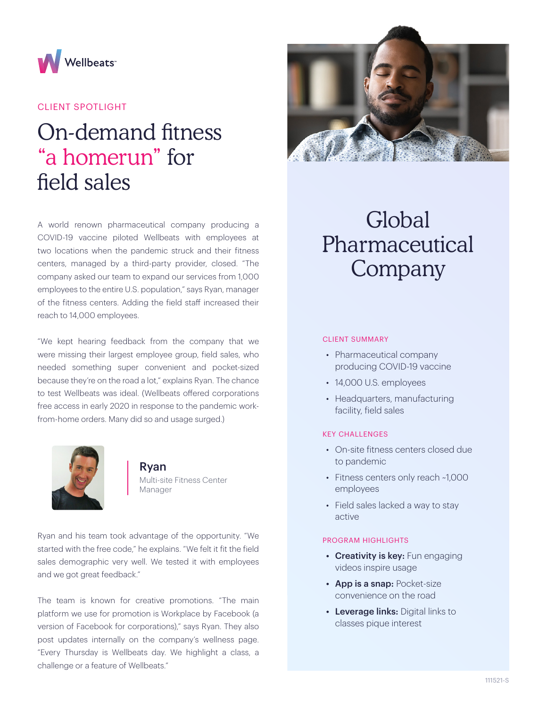

## CLIENT SPOTLIGHT

# On-demand fitness "a homerun" for field sales

A world renown pharmaceutical company producing a COVID-19 vaccine piloted Wellbeats with employees at two locations when the pandemic struck and their fitness centers, managed by a third-party provider, closed. "The company asked our team to expand our services from 1,000 employees to the entire U.S. population," says Ryan, manager of the fitness centers. Adding the field staff increased their reach to 14,000 employees.

"We kept hearing feedback from the company that we were missing their largest employee group, field sales, who needed something super convenient and pocket-sized because they're on the road a lot," explains Ryan. The chance to test Wellbeats was ideal. (Wellbeats offered corporations free access in early 2020 in response to the pandemic workfrom-home orders. Many did so and usage surged.)



## Ryan

Multi-site Fitness Center Manager

Ryan and his team took advantage of the opportunity. "We started with the free code," he explains. "We felt it fit the field sales demographic very well. We tested it with employees and we got great feedback."

The team is known for creative promotions. "The main platform we use for promotion is Workplace by Facebook (a version of Facebook for corporations)," says Ryan. They also post updates internally on the company's wellness page. "Every Thursday is Wellbeats day. We highlight a class, a challenge or a feature of Wellbeats."



# Global Pharmaceutical Company

### CLIENT SUMMARY

- Pharmaceutical company producing COVID-19 vaccine
- 14,000 U.S. employees
- Headquarters, manufacturing facility, field sales

### KEY CHALLENGES

- On-site fitness centers closed due to pandemic
- Fitness centers only reach ~1,000 employees
- Field sales lacked a way to stay active

#### PROGRAM HIGHLIGHTS

- Creativity is key: Fun engaging videos inspire usage
- App is a snap: Pocket-size convenience on the road
- Leverage links: Digital links to classes pique interest